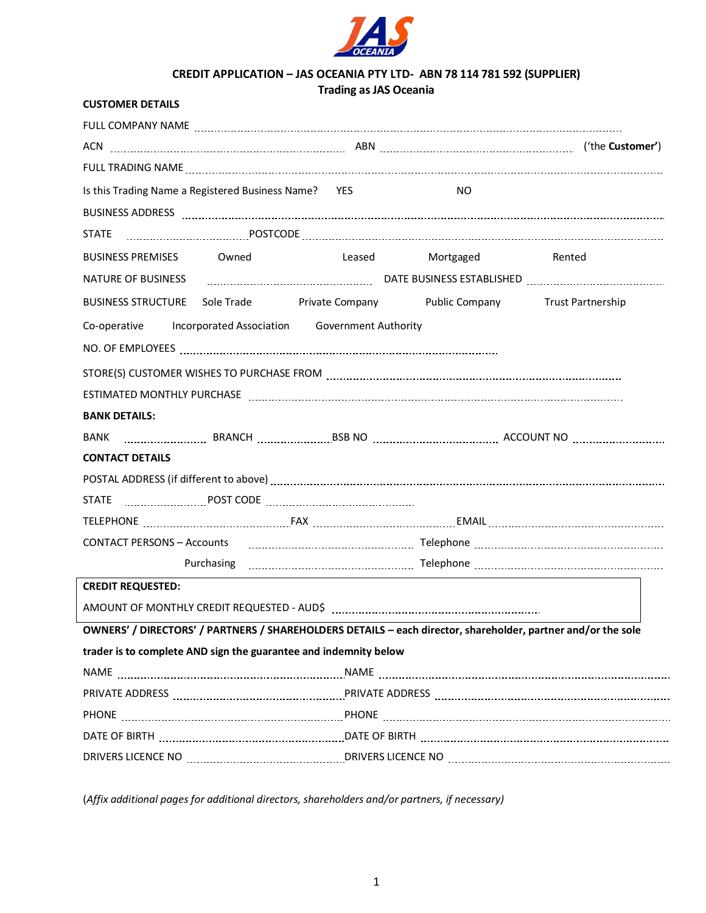

# **CREDIT APPLICATION – JAS OCEANIA PTY LTD- ABN 78 114 781 592 (SUPPLIER)**

# **Trading as JAS Oceania**

| <b>CUSTOMER DETAILS</b>                                                                                        |  |                                                                                                                     |                                          |                                                                                                                                                                                                                               |
|----------------------------------------------------------------------------------------------------------------|--|---------------------------------------------------------------------------------------------------------------------|------------------------------------------|-------------------------------------------------------------------------------------------------------------------------------------------------------------------------------------------------------------------------------|
|                                                                                                                |  |                                                                                                                     |                                          |                                                                                                                                                                                                                               |
|                                                                                                                |  |                                                                                                                     |                                          |                                                                                                                                                                                                                               |
|                                                                                                                |  |                                                                                                                     |                                          |                                                                                                                                                                                                                               |
| Is this Trading Name a Registered Business Name? YES                                                           |  |                                                                                                                     | NO.                                      |                                                                                                                                                                                                                               |
|                                                                                                                |  |                                                                                                                     |                                          | BUSINESS ADDRESS Paramala contracto and contract and contract and contract and contract and contract and contract and contract and contract and contract and contract and contract and contract and contract and contract and |
|                                                                                                                |  |                                                                                                                     |                                          |                                                                                                                                                                                                                               |
|                                                                                                                |  |                                                                                                                     | BUSINESS PREMISES Owned Leased Mortgaged | Rented                                                                                                                                                                                                                        |
|                                                                                                                |  |                                                                                                                     |                                          |                                                                                                                                                                                                                               |
|                                                                                                                |  |                                                                                                                     |                                          | BUSINESS STRUCTURE Sole Trade Private Company Public Company Trust Partnership                                                                                                                                                |
| Co-operative Incorporated Association Government Authority                                                     |  |                                                                                                                     |                                          |                                                                                                                                                                                                                               |
|                                                                                                                |  |                                                                                                                     |                                          |                                                                                                                                                                                                                               |
|                                                                                                                |  |                                                                                                                     |                                          |                                                                                                                                                                                                                               |
|                                                                                                                |  |                                                                                                                     |                                          |                                                                                                                                                                                                                               |
| <b>BANK DETAILS:</b>                                                                                           |  |                                                                                                                     |                                          |                                                                                                                                                                                                                               |
|                                                                                                                |  |                                                                                                                     |                                          |                                                                                                                                                                                                                               |
| <b>CONTACT DETAILS</b>                                                                                         |  |                                                                                                                     |                                          |                                                                                                                                                                                                                               |
|                                                                                                                |  |                                                                                                                     |                                          | POSTAL ADDRESS (if different to above) [11] manufacture in the content of the state of the content of the content of the content of the content of the content of the content of the content of the content of the content of |
|                                                                                                                |  |                                                                                                                     |                                          |                                                                                                                                                                                                                               |
|                                                                                                                |  |                                                                                                                     |                                          |                                                                                                                                                                                                                               |
| CONTACT PERSONS - Accounts (1990) 2003 - 2004 March 2010 March 2010 March 2010 March 2010 March 2010 March 201 |  |                                                                                                                     |                                          |                                                                                                                                                                                                                               |
|                                                                                                                |  |                                                                                                                     |                                          |                                                                                                                                                                                                                               |
| <b>CREDIT REQUESTED:</b>                                                                                       |  |                                                                                                                     |                                          |                                                                                                                                                                                                                               |
|                                                                                                                |  |                                                                                                                     |                                          |                                                                                                                                                                                                                               |
|                                                                                                                |  |                                                                                                                     |                                          | OWNERS' / DIRECTORS' / PARTNERS / SHAREHOLDERS DETAILS - each director, shareholder, partner and/or the sole                                                                                                                  |
| trader is to complete AND sign the guarantee and indemnity below                                               |  |                                                                                                                     |                                          |                                                                                                                                                                                                                               |
|                                                                                                                |  |                                                                                                                     |                                          |                                                                                                                                                                                                                               |
|                                                                                                                |  |                                                                                                                     |                                          | PRIVATE ADDRESS National contract of the contract of the contract of the contract of the contract of the contr                                                                                                                |
|                                                                                                                |  |                                                                                                                     |                                          |                                                                                                                                                                                                                               |
|                                                                                                                |  | DATE OF BIRTH [1111] [12] DATE OF BIRTH [12] DATE OF BIRTH [12] DATE OF BIRTH [12] DATE OF BIRTH [12] DATE OF BIRTH |                                          |                                                                                                                                                                                                                               |
|                                                                                                                |  |                                                                                                                     |                                          | DRIVERS LICENCE NO EXAMPLES TO THE DRIVERS LICENCE NO EXAMPLE TO THE RESERVED OF THE DRIVERS LICENCE NO THE DR                                                                                                                |

(*Affix additional pages for additional directors, shareholders and/or partners, if necessary)*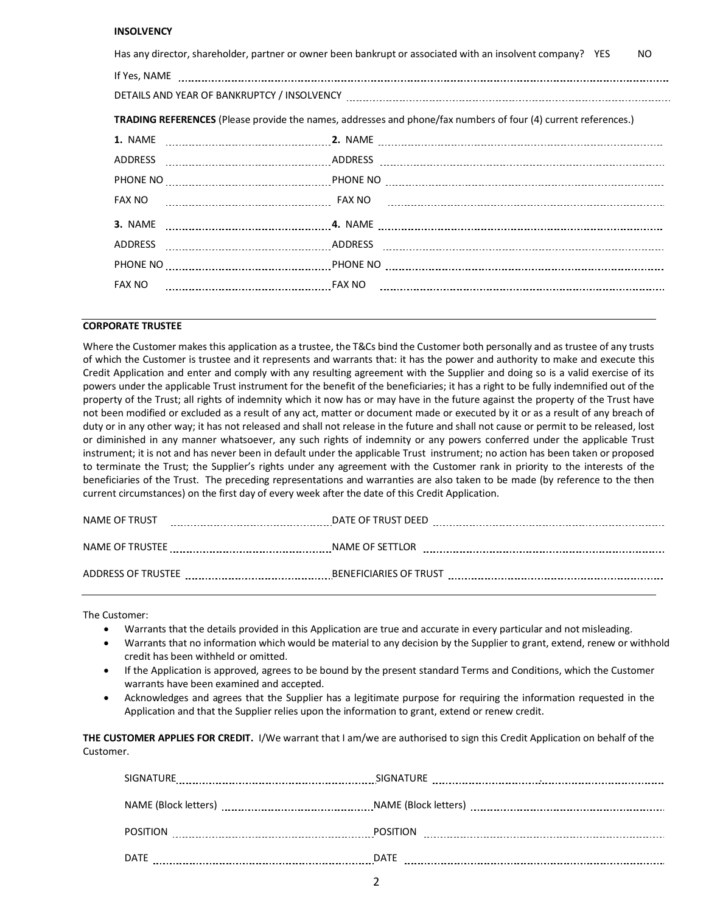## **INSOLVENCY**

| Has any director, shareholder, partner or owner been bankrupt or associated with an insolvent company? YES<br>NO. |  |  |  |  |
|-------------------------------------------------------------------------------------------------------------------|--|--|--|--|
|                                                                                                                   |  |  |  |  |
|                                                                                                                   |  |  |  |  |
| TRADING REFERENCES (Please provide the names, addresses and phone/fax numbers of four (4) current references.)    |  |  |  |  |
|                                                                                                                   |  |  |  |  |
|                                                                                                                   |  |  |  |  |
|                                                                                                                   |  |  |  |  |
|                                                                                                                   |  |  |  |  |
|                                                                                                                   |  |  |  |  |
|                                                                                                                   |  |  |  |  |
|                                                                                                                   |  |  |  |  |
| FAX NO                                                                                                            |  |  |  |  |
|                                                                                                                   |  |  |  |  |

## **CORPORATE TRUSTEE**

Where the Customer makes this application as a trustee, the T&Cs bind the Customer both personally and as trustee of any trusts of which the Customer is trustee and it represents and warrants that: it has the power and authority to make and execute this Credit Application and enter and comply with any resulting agreement with the Supplier and doing so is a valid exercise of its powers under the applicable Trust instrument for the benefit of the beneficiaries; it has a right to be fully indemnified out of the property of the Trust; all rights of indemnity which it now has or may have in the future against the property of the Trust have not been modified or excluded as a result of any act, matter or document made or executed by it or as a result of any breach of duty or in any other way; it has not released and shall not release in the future and shall not cause or permit to be released, lost or diminished in any manner whatsoever, any such rights of indemnity or any powers conferred under the applicable Trust instrument; it is not and has never been in default under the applicable Trust instrument; no action has been taken or proposed to terminate the Trust; the Supplier's rights under any agreement with the Customer rank in priority to the interests of the beneficiaries of the Trust. The preceding representations and warranties are also taken to be made (by reference to the then current circumstances) on the first day of every week after the date of this Credit Application.

| NAME OF TRUST      | DATE OF TRUST DEED            |
|--------------------|-------------------------------|
|                    |                               |
| NAME OF TRUSTEE    | NAME OF SETTLOR               |
|                    |                               |
| ADDRESS OF TRUSTEE | <b>BENEFICIARIES OF TRUST</b> |
|                    |                               |

The Customer:

- Warrants that the details provided in this Application are true and accurate in every particular and not misleading.
- Warrants that no information which would be material to any decision by the Supplier to grant, extend, renew or withhold credit has been withheld or omitted.
- If the Application is approved, agrees to be bound by the present standard Terms and Conditions, which the Customer warrants have been examined and accepted.
- Acknowledges and agrees that the Supplier has a legitimate purpose for requiring the information requested in the Application and that the Supplier relies upon the information to grant, extend or renew credit.

**THE CUSTOMER APPLIES FOR CREDIT.** I/We warrant that I am/we are authorised to sign this Credit Application on behalf of the Customer.

| SIGNATURE            | <b>SIGNATURE</b>     |
|----------------------|----------------------|
| NAME (Block letters) | NAME (Block letters) |
|                      |                      |
| <b>POSITION</b>      | <b>POSITION</b>      |
| <b>DATE</b>          | <b>DATE</b>          |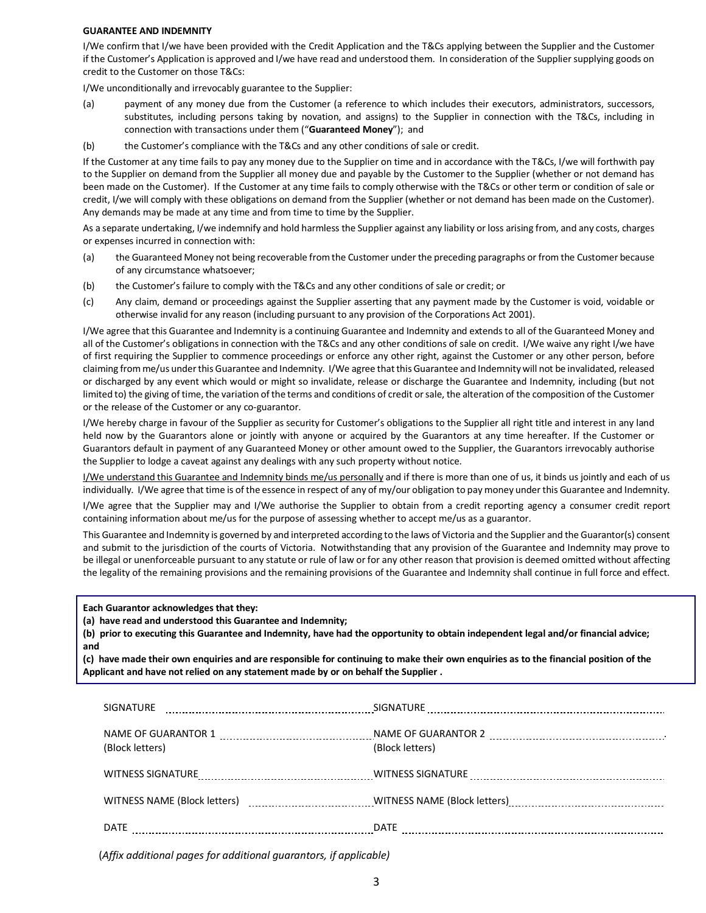### **GUARANTEE AND INDEMNITY**

I/We confirm that I/we have been provided with the Credit Application and the T&Cs applying between the Supplier and the Customer if the Customer's Application is approved and I/we have read and understood them. In consideration of the Supplier supplying goods on credit to the Customer on those T&Cs:

I/We unconditionally and irrevocably guarantee to the Supplier:

- (a) payment of any money due from the Customer (a reference to which includes their executors, administrators, successors, substitutes, including persons taking by novation, and assigns) to the Supplier in connection with the T&Cs, including in connection with transactions under them ("**Guaranteed Money**"); and
- (b) the Customer's compliance with the T&Cs and any other conditions of sale or credit.

If the Customer at any time fails to pay any money due to the Supplier on time and in accordance with the T&Cs, I/we will forthwith pay to the Supplier on demand from the Supplier all money due and payable by the Customer to the Supplier (whether or not demand has been made on the Customer). If the Customer at any time fails to comply otherwise with the T&Cs or other term or condition of sale or credit, I/we will comply with these obligations on demand from the Supplier (whether or not demand has been made on the Customer). Any demands may be made at any time and from time to time by the Supplier.

As a separate undertaking, I/we indemnify and hold harmless the Supplier against any liability or loss arising from, and any costs, charges or expenses incurred in connection with:

- (a) the Guaranteed Money not being recoverable from the Customer under the preceding paragraphs or from the Customer because of any circumstance whatsoever;
- (b) the Customer's failure to comply with the T&Cs and any other conditions of sale or credit; or
- (c) Any claim, demand or proceedings against the Supplier asserting that any payment made by the Customer is void, voidable or otherwise invalid for any reason (including pursuant to any provision of the Corporations Act 2001).

I/We agree that this Guarantee and Indemnity is a continuing Guarantee and Indemnity and extends to all of the Guaranteed Money and all of the Customer's obligations in connection with the T&Cs and any other conditions of sale on credit. I/We waive any right I/we have of first requiring the Supplier to commence proceedings or enforce any other right, against the Customer or any other person, before claiming from me/us under this Guarantee and Indemnity. I/We agree that this Guarantee and Indemnity will not be invalidated, released or discharged by any event which would or might so invalidate, release or discharge the Guarantee and Indemnity, including (but not limited to) the giving of time, the variation of the terms and conditions of credit or sale, the alteration of the composition of the Customer or the release of the Customer or any co-guarantor.

I/We hereby charge in favour of the Supplier as security for Customer's obligations to the Supplier all right title and interest in any land held now by the Guarantors alone or jointly with anyone or acquired by the Guarantors at any time hereafter. If the Customer or Guarantors default in payment of any Guaranteed Money or other amount owed to the Supplier, the Guarantors irrevocably authorise the Supplier to lodge a caveat against any dealings with any such property without notice.

I/We understand this Guarantee and Indemnity binds me/us personally and if there is more than one of us, it binds us jointly and each of us individually. I/We agree that time is of the essence in respect of any of my/our obligation to pay money under this Guarantee and Indemnity.

I/We agree that the Supplier may and I/We authorise the Supplier to obtain from a credit reporting agency a consumer credit report containing information about me/us for the purpose of assessing whether to accept me/us as a guarantor.

This Guarantee and Indemnity is governed by and interpreted according to the laws of Victoria and the Supplier and the Guarantor(s) consent and submit to the jurisdiction of the courts of Victoria. Notwithstanding that any provision of the Guarantee and Indemnity may prove to be illegal or unenforceable pursuant to any statute or rule of law or for any other reason that provision is deemed omitted without affecting the legality of the remaining provisions and the remaining provisions of the Guarantee and Indemnity shall continue in full force and effect.

**Each Guarantor acknowledges that they:**

**(a) have read and understood this Guarantee and Indemnity;** 

**(b) prior to executing this Guarantee and Indemnity, have had the opportunity to obtain independent legal and/or financial advice; and**

**(c) have made their own enquiries and are responsible for continuing to make their own enquiries as to the financial position of the Applicant and have not relied on any statement made by or on behalf the Supplier .**

| <b>SIGNATURE</b>  |                 |
|-------------------|-----------------|
| (Block letters)   | (Block letters) |
| WITNESS SIGNATURE |                 |
|                   |                 |
| DATE              | DATE            |

(*Affix additional pages for additional guarantors, if applicable)*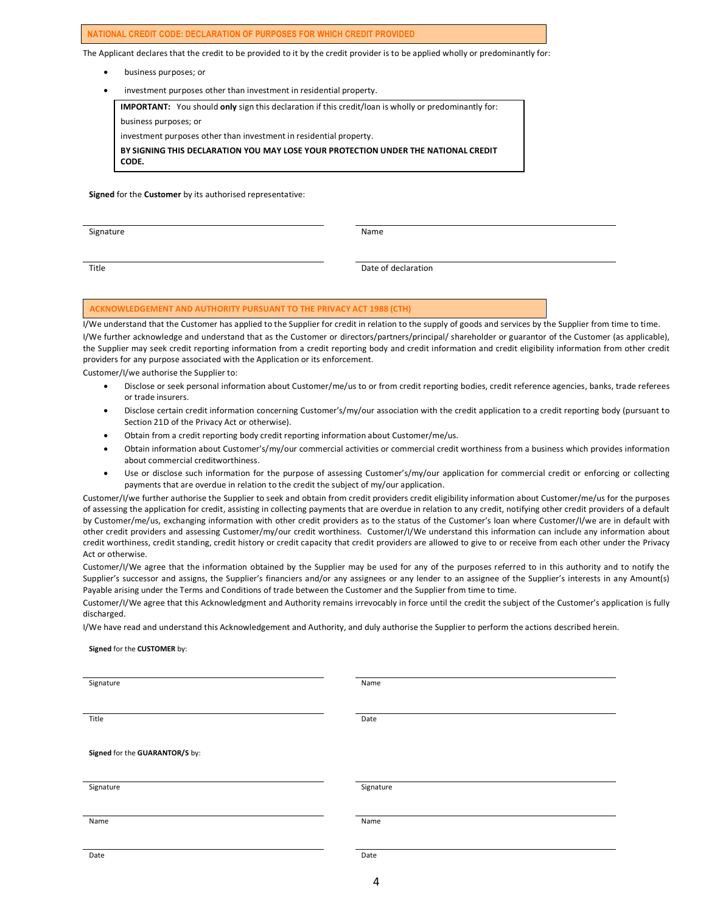#### **NATIONAL CREDIT CODE: DECLARATION OF PURPOSES FOR WHICH CREDIT PROVIDED**

The Applicant declares that the credit to be provided to it by the credit provider is to be applied wholly or predominantly for:

- business purposes; or
- investment purposes other than investment in residential property.

**IMPORTANT:** You should **only** sign this declaration if this credit/loan is wholly or predominantly for:

business purposes; or

investment purposes other than investment in residential property.

**BY SIGNING THIS DECLARATION YOU MAY LOSE YOUR PROTECTION UNDER THE NATIONAL CREDIT CODE.** 

**Signed** for the **Customer** by its authorised representative:

Signature Name

Title **Date of declaration** 

#### **ACKNOWLEDGEMENT AND AUTHORITY PURSUANT TO THE PRIVACY ACT 1988 (CTH)**

I/We understand that the Customer has applied to the Supplier for credit in relation to the supply of goods and services by the Supplier from time to time. I/We further acknowledge and understand that as the Customer or directors/partners/principal/ shareholder or guarantor of the Customer (as applicable), the Supplier may seek credit reporting information from a credit reporting body and credit information and credit eligibility information from other credit providers for any purpose associated with the Application or its enforcement.

Customer/I/we authorise the Supplier to:

- Disclose or seek personal information about Customer/me/us to or from credit reporting bodies, credit reference agencies, banks, trade referees or trade insurers.
- Disclose certain credit information concerning Customer's/my/our association with the credit application to a credit reporting body (pursuant to Section 21D of the Privacy Act or otherwise).
- Obtain from a credit reporting body credit reporting information about Customer/me/us.
- Obtain information about Customer's/my/our commercial activities or commercial credit worthiness from a business which provides information about commercial creditworthiness.
- Use or disclose such information for the purpose of assessing Customer's/my/our application for commercial credit or enforcing or collecting payments that are overdue in relation to the credit the subject of my/our application.

Customer/I/we further authorise the Supplier to seek and obtain from credit providers credit eligibility information about Customer/me/us for the purposes of assessing the application for credit, assisting in collecting payments that are overdue in relation to any credit, notifying other credit providers of a default by Customer/me/us, exchanging information with other credit providers as to the status of the Customer's loan where Customer/I/we are in default with other credit providers and assessing Customer/my/our credit worthiness. Customer/I/We understand this information can include any information about credit worthiness, credit standing, credit history or credit capacity that credit providers are allowed to give to or receive from each other under the Privacy Act or otherwise.

Customer/I/We agree that the information obtained by the Supplier may be used for any of the purposes referred to in this authority and to notify the Supplier's successor and assigns, the Supplier's financiers and/or any assignees or any lender to an assignee of the Supplier's interests in any Amount(s) Payable arising under the Terms and Conditions of trade between the Customer and the Supplier from time to time.

Customer/I/We agree that this Acknowledgment and Authority remains irrevocably in force until the credit the subject of the Customer's application is fully discharged.

I/We have read and understand this Acknowledgement and Authority, and duly authorise the Supplier to perform the actions described herein.

#### **Signed** for the **CUSTOMER** by:

| Signature                      | Name      |  |
|--------------------------------|-----------|--|
|                                |           |  |
|                                |           |  |
| Title                          | Date      |  |
|                                |           |  |
|                                |           |  |
| Signed for the GUARANTOR/S by: |           |  |
|                                |           |  |
|                                |           |  |
| Signature                      | Signature |  |
|                                |           |  |
|                                |           |  |
| Name                           | Name      |  |
|                                |           |  |
|                                |           |  |
| Date                           | Date      |  |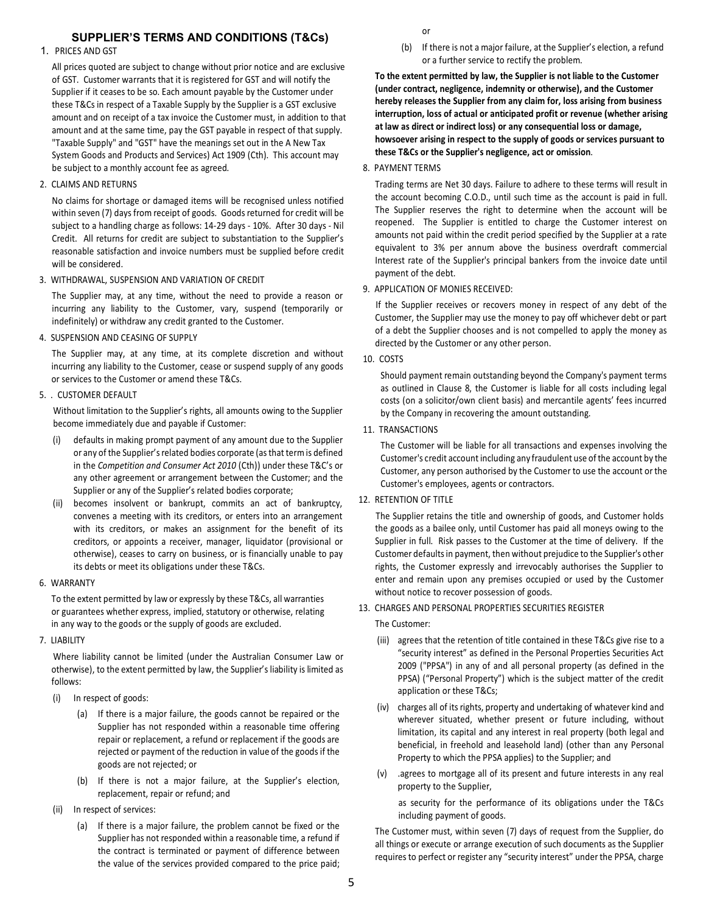# **SUPPLIER'S TERMS AND CONDITIONS (T&Cs)**

## 1. PRICES AND GST

All prices quoted are subject to change without prior notice and are exclusive of GST. Customer warrants that it is registered for GST and will notify the Supplier if it ceases to be so. Each amount payable by the Customer under these T&Cs in respect of a Taxable Supply by the Supplier is a GST exclusive amount and on receipt of a tax invoice the Customer must, in addition to that amount and at the same time, pay the GST payable in respect of that supply. "Taxable Supply" and "GST" have the meanings set out in the A New Tax System Goods and Products and Services) Act 1909 (Cth). This account may be subject to a monthly account fee as agreed.

2. CLAIMS AND RETURNS

No claims for shortage or damaged items will be recognised unless notified within seven (7) days from receipt of goods. Goods returned for credit will be subject to a handling charge as follows: 14-29 days - 10%. After 30 days - Nil Credit. All returns for credit are subject to substantiation to the Supplier's reasonable satisfaction and invoice numbers must be supplied before credit will be considered.

3. WITHDRAWAL, SUSPENSION AND VARIATION OF CREDIT

The Supplier may, at any time, without the need to provide a reason or incurring any liability to the Customer, vary, suspend (temporarily or indefinitely) or withdraw any credit granted to the Customer.

4. SUSPENSION AND CEASING OF SUPPLY

The Supplier may, at any time, at its complete discretion and without incurring any liability to the Customer, cease or suspend supply of any goods or services to the Customer or amend these T&Cs.

5. . CUSTOMER DEFAULT

Without limitation to the Supplier's rights, all amounts owing to the Supplier become immediately due and payable if Customer:

- (i) defaults in making prompt payment of any amount due to the Supplier or any of the Supplier's related bodies corporate (as that term is defined in the *Competition and Consumer Act 2010* (Cth)) under these T&C's or any other agreement or arrangement between the Customer; and the Supplier or any of the Supplier's related bodies corporate;
- (ii) becomes insolvent or bankrupt, commits an act of bankruptcy, convenes a meeting with its creditors, or enters into an arrangement with its creditors, or makes an assignment for the benefit of its creditors, or appoints a receiver, manager, liquidator (provisional or otherwise), ceases to carry on business, or is financially unable to pay its debts or meet its obligations under these T&Cs.
- 6. WARRANTY

To the extent permitted by law or expressly by these T&Cs, all warranties or guarantees whether express, implied, statutory or otherwise, relating in any way to the goods or the supply of goods are excluded.

7. LIABILITY

Where liability cannot be limited (under the Australian Consumer Law or otherwise), to the extent permitted by law, the Supplier's liability is limited as follows:

- (i) In respect of goods:
	- (a) If there is a major failure, the goods cannot be repaired or the Supplier has not responded within a reasonable time offering repair or replacement, a refund or replacement if the goods are rejected or payment of the reduction in value of the goods if the goods are not rejected; or
	- (b) If there is not a major failure, at the Supplier's election, replacement, repair or refund; and
- (ii) In respect of services:
	- (a) If there is a major failure, the problem cannot be fixed or the Supplier has not responded within a reasonable time, a refund if the contract is terminated or payment of difference between the value of the services provided compared to the price paid;

or

(b) If there is not a major failure, at the Supplier's election, a refund or a further service to rectify the problem.

**To the extent permitted by law, the Supplier is not liable to the Customer (under contract, negligence, indemnity or otherwise), and the Customer hereby releases the Supplier from any claim for, loss arising from business interruption, loss of actual or anticipated profit or revenue (whether arising at law as direct or indirect loss) or any consequential loss or damage, howsoever arising in respect to the supply of goods or services pursuant to these T&Cs or the Supplier's negligence, act or omission**.

8. PAYMENT TERMS

Trading terms are Net 30 days. Failure to adhere to these terms will result in the account becoming C.O.D., until such time as the account is paid in full. The Supplier reserves the right to determine when the account will be reopened. The Supplier is entitled to charge the Customer interest on amounts not paid within the credit period specified by the Supplier at a rate equivalent to 3% per annum above the business overdraft commercial Interest rate of the Supplier's principal bankers from the invoice date until payment of the debt.

9. APPLICATION OF MONIES RECEIVED:

If the Supplier receives or recovers money in respect of any debt of the Customer, the Supplier may use the money to pay off whichever debt or part of a debt the Supplier chooses and is not compelled to apply the money as directed by the Customer or any other person.

10. COSTS

Should payment remain outstanding beyond the Company's payment terms as outlined in Clause 8, the Customer is liable for all costs including legal costs (on a solicitor/own client basis) and mercantile agents' fees incurred by the Company in recovering the amount outstanding.

11. TRANSACTIONS

The Customer will be liable for all transactions and expenses involving the Customer's credit account including any fraudulent use of the account by the Customer, any person authorised by the Customer to use the account or the Customer's employees, agents or contractors.

12. RETENTION OF TITLE

The Supplier retains the title and ownership of goods, and Customer holds the goods as a bailee only, until Customer has paid all moneys owing to the Supplier in full. Risk passes to the Customer at the time of delivery. If the Customer defaults in payment, then without prejudice to the Supplier's other rights, the Customer expressly and irrevocably authorises the Supplier to enter and remain upon any premises occupied or used by the Customer without notice to recover possession of goods.

- 13. CHARGES AND PERSONAL PROPERTIES SECURITIES REGISTER
	- The Customer:
	- (iii) agrees that the retention of title contained in these T&Cs give rise to a "security interest" as defined in the Personal Properties Securities Act 2009 ("PPSA") in any of and all personal property (as defined in the PPSA) ("Personal Property") which is the subject matter of the credit application or these T&Cs;
	- (iv) charges all of its rights, property and undertaking of whatever kind and wherever situated, whether present or future including, without limitation, its capital and any interest in real property (both legal and beneficial, in freehold and leasehold land) (other than any Personal Property to which the PPSA applies) to the Supplier; and
	- (v) .agrees to mortgage all of its present and future interests in any real property to the Supplier,

as security for the performance of its obligations under the T&Cs including payment of goods.

The Customer must, within seven (7) days of request from the Supplier, do all things or execute or arrange execution of such documents as the Supplier requires to perfect or register any "security interest" under the PPSA, charge